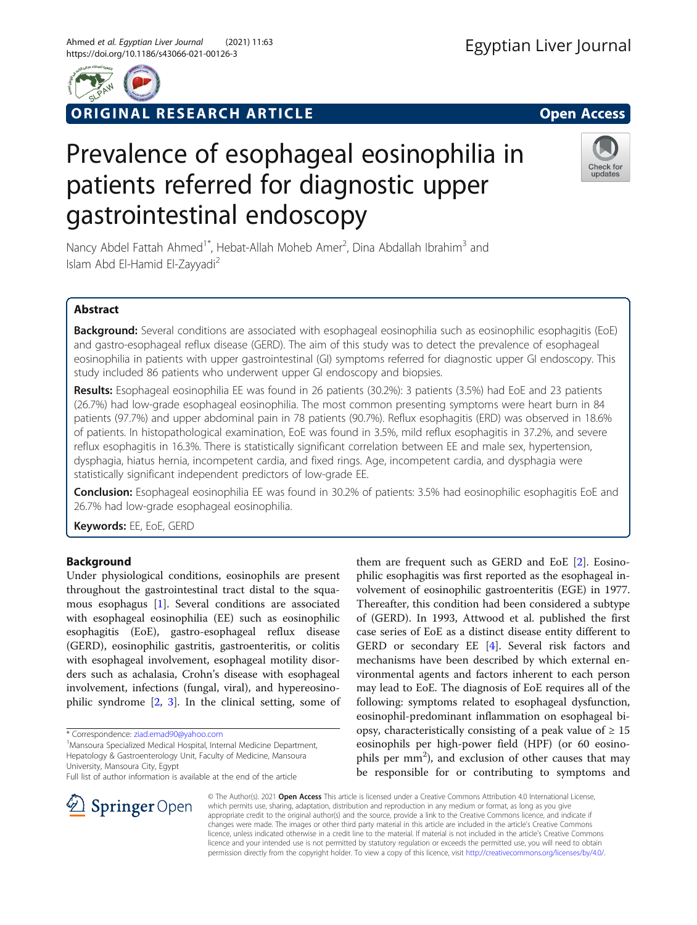

ORIGINAL RESEARCH ARTICLE **Solution Contract Contract Contract Contract Contract Contract Contract Contract Contract Contract Contract Contract Contract Contract Contract Contract Contract Contract Contract Contract Contra** 



# Prevalence of esophageal eosinophilia in patients referred for diagnostic upper gastrointestinal endoscopy



Nancy Abdel Fattah Ahmed<sup>1\*</sup>, Hebat-Allah Moheb Amer<sup>2</sup>, Dina Abdallah Ibrahim<sup>3</sup> and Islam Abd El-Hamid El-Zayyadi<sup>2</sup>

# Abstract

Background: Several conditions are associated with esophageal eosinophilia such as eosinophilic esophagitis (EoE) and gastro-esophageal reflux disease (GERD). The aim of this study was to detect the prevalence of esophageal eosinophilia in patients with upper gastrointestinal (GI) symptoms referred for diagnostic upper GI endoscopy. This study included 86 patients who underwent upper GI endoscopy and biopsies.

Results: Esophageal eosinophilia EE was found in 26 patients (30.2%): 3 patients (3.5%) had EoE and 23 patients (26.7%) had low-grade esophageal eosinophilia. The most common presenting symptoms were heart burn in 84 patients (97.7%) and upper abdominal pain in 78 patients (90.7%). Reflux esophagitis (ERD) was observed in 18.6% of patients. In histopathological examination, EoE was found in 3.5%, mild reflux esophagitis in 37.2%, and severe reflux esophagitis in 16.3%. There is statistically significant correlation between EE and male sex, hypertension, dysphagia, hiatus hernia, incompetent cardia, and fixed rings. Age, incompetent cardia, and dysphagia were statistically significant independent predictors of low-grade EE.

Conclusion: Esophageal eosinophilia EE was found in 30.2% of patients: 3.5% had eosinophilic esophagitis EoE and 26.7% had low-grade esophageal eosinophilia.

Keywords: EE, EoE, GERD

# Background

Under physiological conditions, eosinophils are present throughout the gastrointestinal tract distal to the squamous esophagus [[1](#page-6-0)]. Several conditions are associated with esophageal eosinophilia (EE) such as eosinophilic esophagitis (EoE), gastro-esophageal reflux disease (GERD), eosinophilic gastritis, gastroenteritis, or colitis with esophageal involvement, esophageal motility disorders such as achalasia, Crohn's disease with esophageal involvement, infections (fungal, viral), and hypereosinophilic syndrome [[2,](#page-6-0) [3](#page-6-0)]. In the clinical setting, some of

SpringerOpen

<sup>1</sup> Mansoura Specialized Medical Hospital, Internal Medicine Department, Hepatology & Gastroenterology Unit, Faculty of Medicine, Mansoura University, Mansoura City, Egypt

them are frequent such as GERD and EoE [\[2](#page-6-0)]. Eosinophilic esophagitis was first reported as the esophageal involvement of eosinophilic gastroenteritis (EGE) in 1977. Thereafter, this condition had been considered a subtype of (GERD). In 1993, Attwood et al. published the first case series of EoE as a distinct disease entity different to GERD or secondary EE [\[4](#page-6-0)]. Several risk factors and mechanisms have been described by which external environmental agents and factors inherent to each person may lead to EoE. The diagnosis of EoE requires all of the following: symptoms related to esophageal dysfunction, eosinophil-predominant inflammation on esophageal biopsy, characteristically consisting of a peak value of  $\geq 15$ eosinophils per high-power field (HPF) (or 60 eosinophils per mm<sup>2</sup>), and exclusion of other causes that may be responsible for or contributing to symptoms and

© The Author(s). 2021 Open Access This article is licensed under a Creative Commons Attribution 4.0 International License, which permits use, sharing, adaptation, distribution and reproduction in any medium or format, as long as you give appropriate credit to the original author(s) and the source, provide a link to the Creative Commons licence, and indicate if changes were made. The images or other third party material in this article are included in the article's Creative Commons licence, unless indicated otherwise in a credit line to the material. If material is not included in the article's Creative Commons licence and your intended use is not permitted by statutory regulation or exceeds the permitted use, you will need to obtain permission directly from the copyright holder. To view a copy of this licence, visit <http://creativecommons.org/licenses/by/4.0/>.

<sup>\*</sup> Correspondence: [ziad.emad90@yahoo.com](mailto:ziad.emad90@yahoo.com) <sup>1</sup>

Full list of author information is available at the end of the article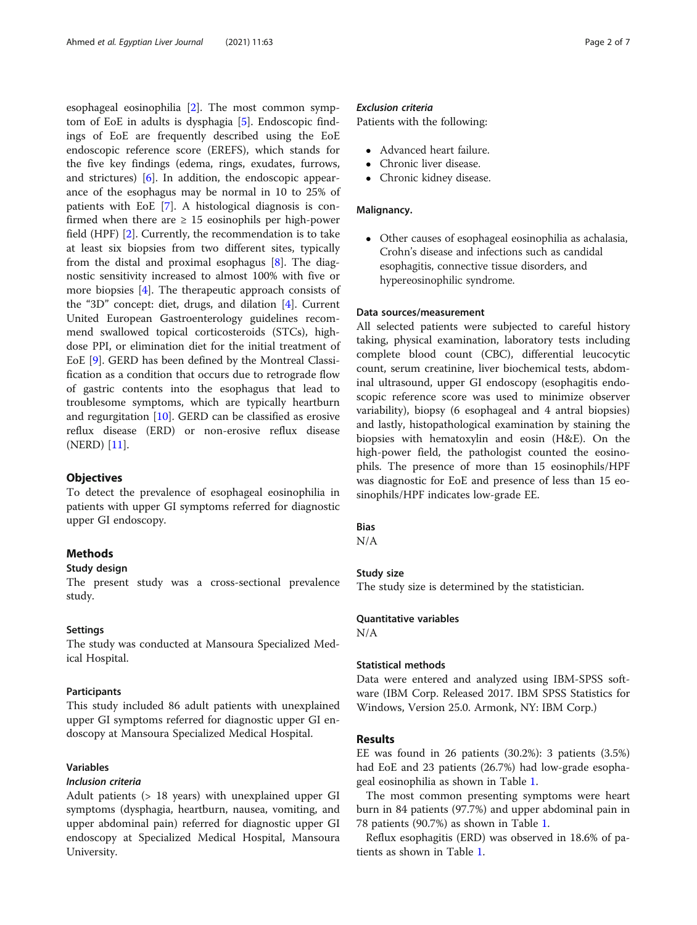esophageal eosinophilia [[2\]](#page-6-0). The most common symptom of EoE in adults is dysphagia [\[5](#page-6-0)]. Endoscopic findings of EoE are frequently described using the EoE endoscopic reference score (EREFS), which stands for the five key findings (edema, rings, exudates, furrows, and strictures) [[6\]](#page-6-0). In addition, the endoscopic appearance of the esophagus may be normal in 10 to 25% of patients with EoE [[7](#page-6-0)]. A histological diagnosis is confirmed when there are  $\geq$  15 eosinophils per high-power field (HPF) [[2\]](#page-6-0). Currently, the recommendation is to take at least six biopsies from two different sites, typically from the distal and proximal esophagus [[8\]](#page-6-0). The diagnostic sensitivity increased to almost 100% with five or more biopsies [\[4](#page-6-0)]. The therapeutic approach consists of the "3D" concept: diet, drugs, and dilation [[4\]](#page-6-0). Current United European Gastroenterology guidelines recommend swallowed topical corticosteroids (STCs), highdose PPI, or elimination diet for the initial treatment of EoE [\[9](#page-6-0)]. GERD has been defined by the Montreal Classification as a condition that occurs due to retrograde flow of gastric contents into the esophagus that lead to troublesome symptoms, which are typically heartburn and regurgitation  $[10]$  $[10]$ . GERD can be classified as erosive reflux disease (ERD) or non-erosive reflux disease (NERD) [\[11](#page-6-0)].

## **Objectives**

To detect the prevalence of esophageal eosinophilia in patients with upper GI symptoms referred for diagnostic upper GI endoscopy.

## **Methods**

## Study design

The present study was a cross-sectional prevalence study.

#### Settings

The study was conducted at Mansoura Specialized Medical Hospital.

#### Participants

This study included 86 adult patients with unexplained upper GI symptoms referred for diagnostic upper GI endoscopy at Mansoura Specialized Medical Hospital.

# Variables

## Inclusion criteria

Adult patients (> 18 years) with unexplained upper GI symptoms (dysphagia, heartburn, nausea, vomiting, and upper abdominal pain) referred for diagnostic upper GI endoscopy at Specialized Medical Hospital, Mansoura University.

## Exclusion criteria

Patients with the following:

- Advanced heart failure.
- Chronic liver disease.
- Chronic kidney disease.

## Malignancy.

 Other causes of esophageal eosinophilia as achalasia, Crohn's disease and infections such as candidal esophagitis, connective tissue disorders, and hypereosinophilic syndrome.

## Data sources/measurement

All selected patients were subjected to careful history taking, physical examination, laboratory tests including complete blood count (CBC), differential leucocytic count, serum creatinine, liver biochemical tests, abdominal ultrasound, upper GI endoscopy (esophagitis endoscopic reference score was used to minimize observer variability), biopsy (6 esophageal and 4 antral biopsies) and lastly, histopathological examination by staining the biopsies with hematoxylin and eosin (H&E). On the high-power field, the pathologist counted the eosinophils. The presence of more than 15 eosinophils/HPF was diagnostic for EoE and presence of less than 15 eosinophils/HPF indicates low-grade EE.

## Bias

N/A

#### Study size

The study size is determined by the statistician.

## Quantitative variables

N/A

#### Statistical methods

Data were entered and analyzed using IBM-SPSS software (IBM Corp. Released 2017. IBM SPSS Statistics for Windows, Version 25.0. Armonk, NY: IBM Corp.)

## Results

EE was found in 26 patients (30.2%): 3 patients (3.5%) had EoE and 23 patients (26.7%) had low-grade esophageal eosinophilia as shown in Table [1.](#page-2-0)

The most common presenting symptoms were heart burn in 84 patients (97.7%) and upper abdominal pain in 78 patients (90.7%) as shown in Table [1.](#page-2-0)

Reflux esophagitis (ERD) was observed in 18.6% of patients as shown in Table [1](#page-2-0).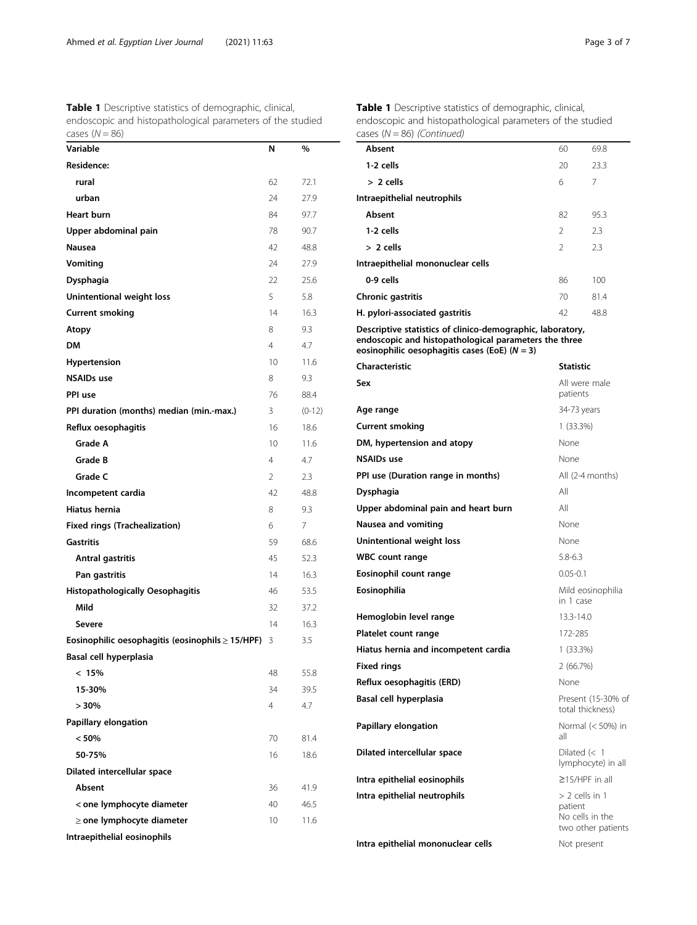<span id="page-2-0"></span>Ahmed et al. Egyptian Liver Journal (2021) 11:63 Page 3 of 7

| <b>Table 1</b> Descriptive statistics of demographic, clinical, |
|-----------------------------------------------------------------|
| endoscopic and histopathological parameters of the studied      |
| cases $(N = 86)$                                                |

| Variable                                              | Ν              | %        |
|-------------------------------------------------------|----------------|----------|
| <b>Residence:</b>                                     |                |          |
| rural                                                 | 62             | 72.1     |
| urban                                                 | 24             | 27.9     |
| <b>Heart burn</b>                                     | 84             | 97.7     |
| Upper abdominal pain                                  | 78             | 90.7     |
| Nausea                                                | 42             | 48.8     |
| Vomiting                                              | 24             | 27.9     |
| Dysphagia                                             | 22             | 25.6     |
| Unintentional weight loss                             | 5              | 5.8      |
| <b>Current smoking</b>                                | 14             | 16.3     |
| Atopy                                                 | 8              | 9.3      |
| DM                                                    | $\overline{4}$ | 4.7      |
| Hypertension                                          | 10             | 11.6     |
| <b>NSAIDs use</b>                                     | 8              | 9.3      |
| PPI use                                               | 76             | 88.4     |
| PPI duration (months) median (min.-max.)              | 3              | $(0-12)$ |
| Reflux oesophagitis                                   | 16             | 18.6     |
| Grade A                                               | 10             | 11.6     |
| Grade B                                               | 4              | 4.7      |
| Grade C                                               | 2              | 2.3      |
| Incompetent cardia                                    | 42             | 48.8     |
| <b>Hiatus hernia</b>                                  | 8              | 9.3      |
| <b>Fixed rings (Trachealization)</b>                  | 6              | 7        |
| Gastritis                                             | 59             | 68.6     |
| Antral gastritis                                      | 45             | 52.3     |
| Pan gastritis                                         | 14             | 16.3     |
| <b>Histopathologically Oesophagitis</b>               | 46             | 53.5     |
| Mild                                                  | 32             | 37.2     |
| Severe                                                | 14             | 16.3     |
| Eosinophilic oesophagitis (eosinophils $\geq$ 15/HPF) | 3              | 3.5      |
| Basal cell hyperplasia                                |                |          |
| $< 15\%$                                              | 48             | 55.8     |
| 15-30%                                                | 34             | 39.5     |
| $> 30\%$                                              | 4              | 4.7      |
| Papillary elongation                                  |                |          |
| < 50%                                                 | 70             | 81.4     |
| 50-75%                                                | 16             | 18.6     |
| Dilated intercellular space                           |                |          |
| Absent                                                | 36             | 41.9     |
| < one lymphocyte diameter                             | 40             | 46.5     |
| $\geq$ one lymphocyte diameter                        | 10             | 11.6     |
| Intraepithelial eosinophils                           |                |          |

Table 1 Descriptive statistics of demographic, clinical, endoscopic and histopathological parameters of the studied cases  $(N = 86)$  (Continued)

| cases ( $N = 86$ ) (Continued)                                                                                                                                         |                |                                                           |  |  |
|------------------------------------------------------------------------------------------------------------------------------------------------------------------------|----------------|-----------------------------------------------------------|--|--|
| Absent                                                                                                                                                                 | 60             | 69.8                                                      |  |  |
| 1-2 cells                                                                                                                                                              | 20             | 23.3                                                      |  |  |
| $> 2$ cells                                                                                                                                                            | 6              | 7                                                         |  |  |
| Intraepithelial neutrophils                                                                                                                                            |                |                                                           |  |  |
| Absent                                                                                                                                                                 | 82             | 95.3                                                      |  |  |
| 1-2 cells                                                                                                                                                              | 2              | 2.3                                                       |  |  |
| $> 2$ cells                                                                                                                                                            | $\mathfrak{D}$ | 2.3                                                       |  |  |
| Intraepithelial mononuclear cells                                                                                                                                      |                |                                                           |  |  |
| 0-9 cells                                                                                                                                                              | 86             | 100                                                       |  |  |
| Chronic gastritis                                                                                                                                                      | 70             | 81.4                                                      |  |  |
| H. pylori-associated gastritis                                                                                                                                         | 42             | 48.8                                                      |  |  |
| Descriptive statistics of clinico-demographic, laboratory,<br>endoscopic and histopathological parameters the three<br>eosinophilic oesophagitis cases (EoE) $(N = 3)$ |                |                                                           |  |  |
| Characteristic                                                                                                                                                         | Statistic      |                                                           |  |  |
| Sex                                                                                                                                                                    |                | All were male<br>patients                                 |  |  |
| Age range                                                                                                                                                              |                | 34-73 years                                               |  |  |
| <b>Current smoking</b>                                                                                                                                                 |                | $1(33.3\%)$                                               |  |  |
| DM, hypertension and atopy                                                                                                                                             | None           |                                                           |  |  |
| NSAIDs use                                                                                                                                                             | None           |                                                           |  |  |
| PPI use (Duration range in months)                                                                                                                                     |                | All (2-4 months)                                          |  |  |
| Dysphagia                                                                                                                                                              | All            |                                                           |  |  |
| Upper abdominal pain and heart burn                                                                                                                                    | All            |                                                           |  |  |
| Nausea and vomiting                                                                                                                                                    | None           |                                                           |  |  |
| Unintentional weight loss                                                                                                                                              | None           |                                                           |  |  |
| <b>WBC count range</b>                                                                                                                                                 |                | $5.8 - 6.3$                                               |  |  |
| Eosinophil count range                                                                                                                                                 |                | $0.05 - 0.1$                                              |  |  |
| Eosinophilia                                                                                                                                                           |                | Mild eosinophilia<br>in 1 case                            |  |  |
| Hemoglobin level range                                                                                                                                                 |                | 13.3-14.0                                                 |  |  |
| Platelet count range                                                                                                                                                   |                | 172-285                                                   |  |  |
| Hiatus hernia and incompetent cardia                                                                                                                                   |                | 1 (33.3%)                                                 |  |  |
| Fixed rings                                                                                                                                                            | 2 (66.7%)      |                                                           |  |  |
| Reflux oesophagitis (ERD)                                                                                                                                              | None           |                                                           |  |  |
| Basal cell hyperplasia                                                                                                                                                 |                | Present (15-30% of<br>total thickness)                    |  |  |
| Papillary elongation                                                                                                                                                   | all            | Normal (< 50%) in                                         |  |  |
| Dilated intercellular space                                                                                                                                            |                | Dilated $(< 1$<br>lymphocyte) in all                      |  |  |
| Intra epithelial eosinophils                                                                                                                                           |                | $\geq$ 15/HPF in all                                      |  |  |
| Intra epithelial neutrophils                                                                                                                                           | patient        | $>$ 2 cells in 1<br>No cells in the<br>two other patients |  |  |
| - 12                                                                                                                                                                   |                |                                                           |  |  |

Intra epithelial mononuclear cells **Not present**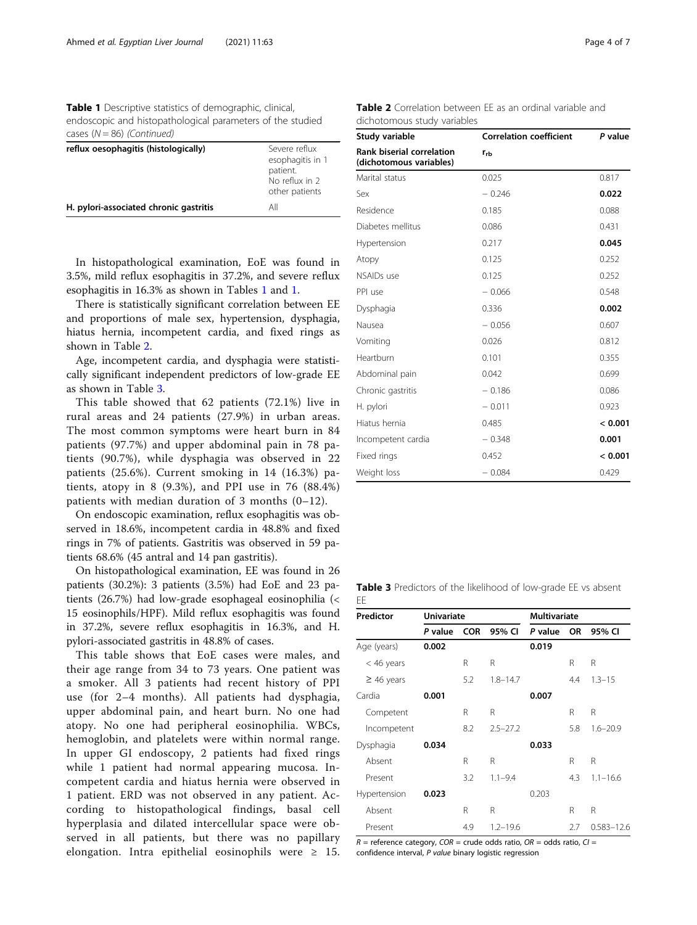<span id="page-3-0"></span>Table 1 Descriptive statistics of demographic, clinical, endoscopic and histopathological parameters of the studied cases  $(N = 86)$  (Continued)

| reflux oesophagitis (histologically)   | Severe reflux<br>esophagitis in 1<br>patient.<br>No reflux in 2<br>other patients |
|----------------------------------------|-----------------------------------------------------------------------------------|
| H. pylori-associated chronic gastritis | All                                                                               |

In histopathological examination, EoE was found in 3.5%, mild reflux esophagitis in 37.2%, and severe reflux esophagitis in 16.3% as shown in Tables [1](#page-2-0) and [1](#page-2-0).

There is statistically significant correlation between EE and proportions of male sex, hypertension, dysphagia, hiatus hernia, incompetent cardia, and fixed rings as shown in Table 2.

Age, incompetent cardia, and dysphagia were statistically significant independent predictors of low-grade EE as shown in Table 3.

This table showed that 62 patients (72.1%) live in rural areas and 24 patients (27.9%) in urban areas. The most common symptoms were heart burn in 84 patients (97.7%) and upper abdominal pain in 78 patients (90.7%), while dysphagia was observed in 22 patients (25.6%). Current smoking in 14 (16.3%) patients, atopy in 8  $(9.3\%)$ , and PPI use in 76  $(88.4\%)$ patients with median duration of 3 months (0–12).

On endoscopic examination, reflux esophagitis was observed in 18.6%, incompetent cardia in 48.8% and fixed rings in 7% of patients. Gastritis was observed in 59 patients 68.6% (45 antral and 14 pan gastritis).

On histopathological examination, EE was found in 26 patients (30.2%): 3 patients (3.5%) had EoE and 23 patients (26.7%) had low-grade esophageal eosinophilia (< 15 eosinophils/HPF). Mild reflux esophagitis was found in 37.2%, severe reflux esophagitis in 16.3%, and H. pylori-associated gastritis in 48.8% of cases.

This table shows that EoE cases were males, and their age range from 34 to 73 years. One patient was a smoker. All 3 patients had recent history of PPI use (for 2–4 months). All patients had dysphagia, upper abdominal pain, and heart burn. No one had atopy. No one had peripheral eosinophilia. WBCs, hemoglobin, and platelets were within normal range. In upper GI endoscopy, 2 patients had fixed rings while 1 patient had normal appearing mucosa. Incompetent cardia and hiatus hernia were observed in 1 patient. ERD was not observed in any patient. According to histopathological findings, basal cell hyperplasia and dilated intercellular space were observed in all patients, but there was no papillary elongation. Intra epithelial eosinophils were  $\geq$  15.

| Study variable                                              | <b>Correlation coefficient</b> | P value |  |
|-------------------------------------------------------------|--------------------------------|---------|--|
| <b>Rank biserial correlation</b><br>(dichotomous variables) | $r_{rb}$                       |         |  |
| Marital status                                              | 0.025                          | 0.817   |  |
| Sex                                                         | $-0.246$                       | 0.022   |  |
| Residence                                                   | 0.185                          | 0.088   |  |
| Diabetes mellitus                                           | 0.086                          | 0.431   |  |
| Hypertension                                                | 0.217                          | 0.045   |  |
| Atopy                                                       | 0.125                          | 0.252   |  |
| <b>NSAIDs</b> use                                           | 0.125                          | 0.252   |  |
| PPI use                                                     | $-0.066$                       | 0.548   |  |
| Dysphagia                                                   | 0.336                          | 0.002   |  |
| Nausea                                                      | $-0.056$                       | 0.607   |  |
| Vomiting                                                    | 0.026                          | 0.812   |  |
| Heartburn                                                   | 0.101                          | 0.355   |  |
| Abdominal pain                                              | 0.042                          | 0.699   |  |
| Chronic gastritis                                           | $-0.186$                       | 0.086   |  |
| H. pylori                                                   | $-0.011$                       | 0.923   |  |
| Hiatus hernia                                               | 0.485                          | < 0.001 |  |
| Incompetent cardia                                          | $-0.348$                       | 0.001   |  |
| Fixed rings                                                 | 0.452                          | < 0.001 |  |
| Weight loss                                                 | $-0.084$                       | 0.429   |  |

Table 2 Correlation between EE as an ordinal variable and dichotomous study variables

Table 3 Predictors of the likelihood of low-grade EE vs absent EE

| Predictor       | <b>Univariate</b> |            | <b>Multivariate</b> |         |     |                |
|-----------------|-------------------|------------|---------------------|---------|-----|----------------|
|                 | P value           | <b>COR</b> | 95% CI              | P value | OR. | 95% CI         |
| Age (years)     | 0.002             |            |                     | 0.019   |     |                |
| $<$ 46 years    |                   | R          | R                   |         | R   | R              |
| $\geq$ 46 years |                   | 5.2        | $1.8 - 14.7$        |         | 4.4 | $1.3 - 15$     |
| Cardia          | 0.001             |            |                     | 0.007   |     |                |
| Competent       |                   | R          | R                   |         | R   | R              |
| Incompetent     |                   | 8.2        | $2.5 - 27.2$        |         | 5.8 | $1.6 - 20.9$   |
| Dysphagia       | 0.034             |            |                     | 0.033   |     |                |
| Absent          |                   | R          | R                   |         | R   | R              |
| Present         |                   | 3.2        | $1.1 - 9.4$         |         | 4.3 | $1.1 - 16.6$   |
| Hypertension    | 0.023             |            |                     | 0.203   |     |                |
| Absent          |                   | R          | R                   |         | R   | R              |
| Present         |                   | 4.9        | $1.2 - 19.6$        |         | 2.7 | $0.583 - 12.6$ |

 $R$  = reference category, COR = crude odds ratio, OR = odds ratio, CI = confidence interval, P value binary logistic regression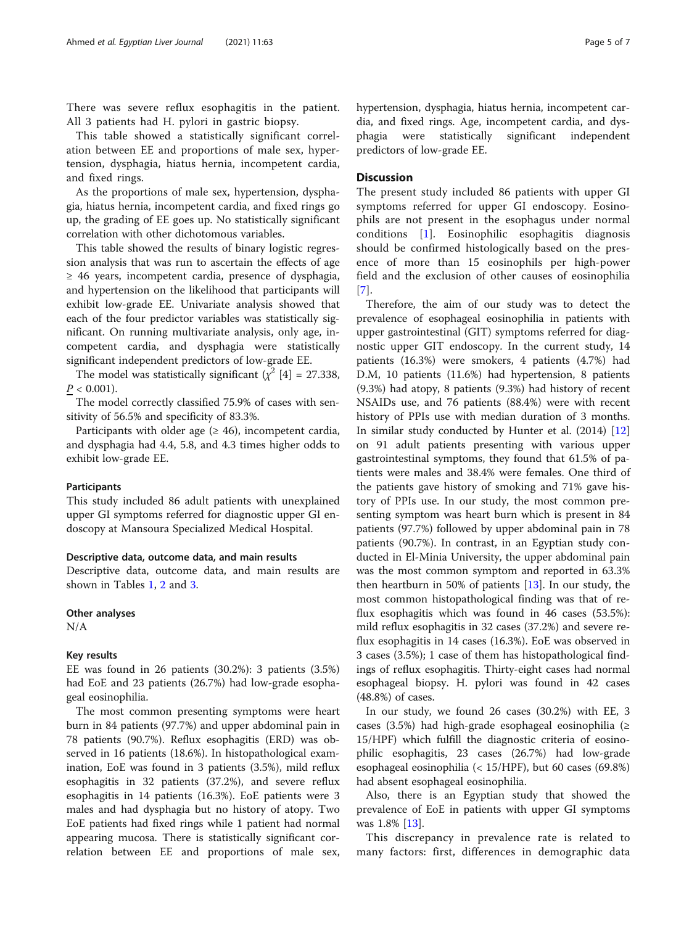There was severe reflux esophagitis in the patient. All 3 patients had H. pylori in gastric biopsy.

This table showed a statistically significant correlation between EE and proportions of male sex, hypertension, dysphagia, hiatus hernia, incompetent cardia, and fixed rings.

As the proportions of male sex, hypertension, dysphagia, hiatus hernia, incompetent cardia, and fixed rings go up, the grading of EE goes up. No statistically significant correlation with other dichotomous variables.

This table showed the results of binary logistic regression analysis that was run to ascertain the effects of age ≥ 46 years, incompetent cardia, presence of dysphagia, and hypertension on the likelihood that participants will exhibit low-grade EE. Univariate analysis showed that each of the four predictor variables was statistically significant. On running multivariate analysis, only age, incompetent cardia, and dysphagia were statistically significant independent predictors of low-grade EE.

The model was statistically significant  $(\chi^2 \mid 4] = 27.338$ ,  $P < 0.001$ ).

The model correctly classified 75.9% of cases with sensitivity of 56.5% and specificity of 83.3%.

Participants with older age  $(\geq 46)$ , incompetent cardia, and dysphagia had 4.4, 5.8, and 4.3 times higher odds to exhibit low-grade EE.

#### **Participants**

This study included 86 adult patients with unexplained upper GI symptoms referred for diagnostic upper GI endoscopy at Mansoura Specialized Medical Hospital.

## Descriptive data, outcome data, and main results

Descriptive data, outcome data, and main results are shown in Tables [1,](#page-2-0) [2](#page-3-0) and [3](#page-3-0).

#### Other analyses

N/A

#### Key results

EE was found in 26 patients (30.2%): 3 patients (3.5%) had EoE and 23 patients (26.7%) had low-grade esophageal eosinophilia.

The most common presenting symptoms were heart burn in 84 patients (97.7%) and upper abdominal pain in 78 patients (90.7%). Reflux esophagitis (ERD) was observed in 16 patients (18.6%). In histopathological examination, EoE was found in 3 patients (3.5%), mild reflux esophagitis in 32 patients (37.2%), and severe reflux esophagitis in 14 patients (16.3%). EoE patients were 3 males and had dysphagia but no history of atopy. Two EoE patients had fixed rings while 1 patient had normal appearing mucosa. There is statistically significant correlation between EE and proportions of male sex, hypertension, dysphagia, hiatus hernia, incompetent cardia, and fixed rings. Age, incompetent cardia, and dysphagia were statistically significant independent predictors of low-grade EE.

#### **Discussion**

The present study included 86 patients with upper GI symptoms referred for upper GI endoscopy. Eosinophils are not present in the esophagus under normal conditions [[1\]](#page-6-0). Eosinophilic esophagitis diagnosis should be confirmed histologically based on the presence of more than 15 eosinophils per high-power field and the exclusion of other causes of eosinophilia [[7](#page-6-0)].

Therefore, the aim of our study was to detect the prevalence of esophageal eosinophilia in patients with upper gastrointestinal (GIT) symptoms referred for diagnostic upper GIT endoscopy. In the current study, 14 patients (16.3%) were smokers, 4 patients (4.7%) had D.M, 10 patients (11.6%) had hypertension, 8 patients (9.3%) had atopy, 8 patients (9.3%) had history of recent NSAIDs use, and 76 patients (88.4%) were with recent history of PPIs use with median duration of 3 months. In similar study conducted by Hunter et al. (2014) [[12](#page-6-0)] on 91 adult patients presenting with various upper gastrointestinal symptoms, they found that 61.5% of patients were males and 38.4% were females. One third of the patients gave history of smoking and 71% gave history of PPIs use. In our study, the most common presenting symptom was heart burn which is present in 84 patients (97.7%) followed by upper abdominal pain in 78 patients (90.7%). In contrast, in an Egyptian study conducted in El-Minia University, the upper abdominal pain was the most common symptom and reported in 63.3% then heartburn in 50% of patients  $[13]$  $[13]$ . In our study, the most common histopathological finding was that of reflux esophagitis which was found in 46 cases (53.5%): mild reflux esophagitis in 32 cases (37.2%) and severe reflux esophagitis in 14 cases (16.3%). EoE was observed in 3 cases (3.5%); 1 case of them has histopathological findings of reflux esophagitis. Thirty-eight cases had normal esophageal biopsy. H. pylori was found in 42 cases (48.8%) of cases.

In our study, we found 26 cases (30.2%) with EE, 3 cases (3.5%) had high-grade esophageal eosinophilia (≥ 15/HPF) which fulfill the diagnostic criteria of eosinophilic esophagitis, 23 cases (26.7%) had low-grade esophageal eosinophilia (< 15/HPF), but 60 cases (69.8%) had absent esophageal eosinophilia.

Also, there is an Egyptian study that showed the prevalence of EoE in patients with upper GI symptoms was 1.8% [[13](#page-6-0)].

This discrepancy in prevalence rate is related to many factors: first, differences in demographic data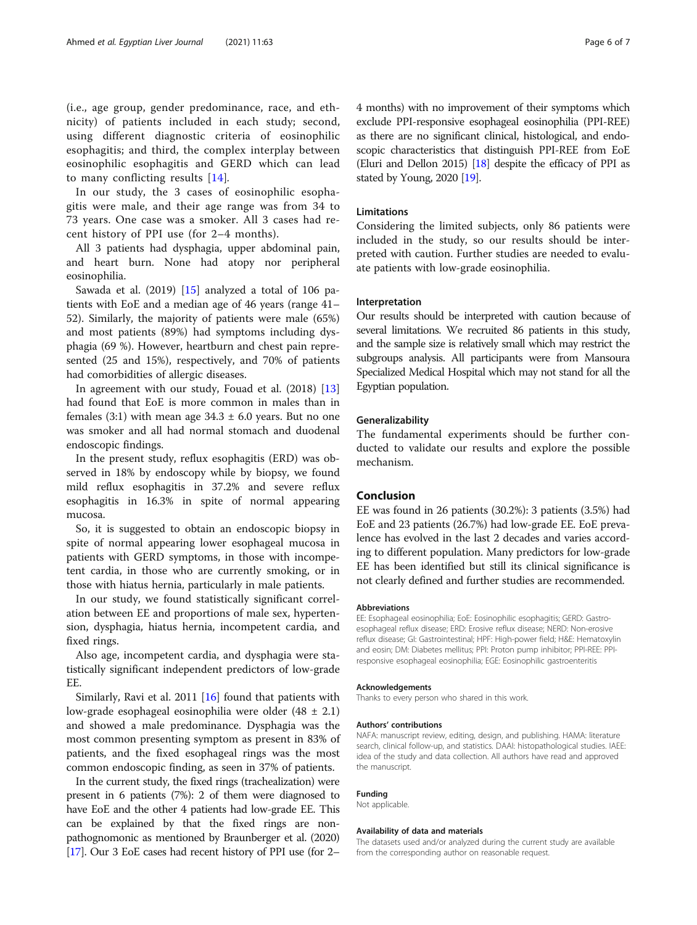In our study, the 3 cases of eosinophilic esophagitis were male, and their age range was from 34 to 73 years. One case was a smoker. All 3 cases had recent history of PPI use (for 2–4 months).

All 3 patients had dysphagia, upper abdominal pain, and heart burn. None had atopy nor peripheral eosinophilia.

Sawada et al.  $(2019)$  [[15\]](#page-6-0) analyzed a total of 106 patients with EoE and a median age of 46 years (range 41– 52). Similarly, the majority of patients were male (65%) and most patients (89%) had symptoms including dysphagia (69 %). However, heartburn and chest pain represented (25 and 15%), respectively, and 70% of patients had comorbidities of allergic diseases.

In agreement with our study, Fouad et al. (2018) [[13](#page-6-0)] had found that EoE is more common in males than in females (3:1) with mean age  $34.3 \pm 6.0$  years. But no one was smoker and all had normal stomach and duodenal endoscopic findings.

In the present study, reflux esophagitis (ERD) was observed in 18% by endoscopy while by biopsy, we found mild reflux esophagitis in 37.2% and severe reflux esophagitis in 16.3% in spite of normal appearing mucosa.

So, it is suggested to obtain an endoscopic biopsy in spite of normal appearing lower esophageal mucosa in patients with GERD symptoms, in those with incompetent cardia, in those who are currently smoking, or in those with hiatus hernia, particularly in male patients.

In our study, we found statistically significant correlation between EE and proportions of male sex, hypertension, dysphagia, hiatus hernia, incompetent cardia, and fixed rings.

Also age, incompetent cardia, and dysphagia were statistically significant independent predictors of low-grade EE.

Similarly, Ravi et al. 2011 [\[16\]](#page-6-0) found that patients with low-grade esophageal eosinophilia were older  $(48 \pm 2.1)$ and showed a male predominance. Dysphagia was the most common presenting symptom as present in 83% of patients, and the fixed esophageal rings was the most common endoscopic finding, as seen in 37% of patients.

In the current study, the fixed rings (trachealization) were present in 6 patients (7%): 2 of them were diagnosed to have EoE and the other 4 patients had low-grade EE. This can be explained by that the fixed rings are nonpathognomonic as mentioned by Braunberger et al. (2020) [[17](#page-6-0)]. Our 3 EoE cases had recent history of PPI use (for 2– 4 months) with no improvement of their symptoms which exclude PPI-responsive esophageal eosinophilia (PPI-REE) as there are no significant clinical, histological, and endoscopic characteristics that distinguish PPI-REE from EoE (Eluri and Dellon 2015) [\[18\]](#page-6-0) despite the efficacy of PPI as stated by Young, 2020 [\[19](#page-6-0)].

## Limitations

Considering the limited subjects, only 86 patients were included in the study, so our results should be interpreted with caution. Further studies are needed to evaluate patients with low-grade eosinophilia.

#### Interpretation

Our results should be interpreted with caution because of several limitations. We recruited 86 patients in this study, and the sample size is relatively small which may restrict the subgroups analysis. All participants were from Mansoura Specialized Medical Hospital which may not stand for all the Egyptian population.

#### Generalizability

The fundamental experiments should be further conducted to validate our results and explore the possible mechanism.

## Conclusion

EE was found in 26 patients (30.2%): 3 patients (3.5%) had EoE and 23 patients (26.7%) had low-grade EE. EoE prevalence has evolved in the last 2 decades and varies according to different population. Many predictors for low-grade EE has been identified but still its clinical significance is not clearly defined and further studies are recommended.

#### Abbreviations

EE: Esophageal eosinophilia; EoE: Eosinophilic esophagitis; GERD: Gastroesophageal reflux disease; ERD: Erosive reflux disease; NERD: Non-erosive reflux disease; GI: Gastrointestinal; HPF: High-power field; H&E: Hematoxylin and eosin; DM: Diabetes mellitus; PPI: Proton pump inhibitor; PPI-REE: PPIresponsive esophageal eosinophilia; EGE: Eosinophilic gastroenteritis

#### Acknowledgements

Thanks to every person who shared in this work.

#### Authors' contributions

NAFA: manuscript review, editing, design, and publishing. HAMA: literature search, clinical follow-up, and statistics. DAAI: histopathological studies. IAEE: idea of the study and data collection. All authors have read and approved the manuscript.

#### Funding

Not applicable.

#### Availability of data and materials

The datasets used and/or analyzed during the current study are available from the corresponding author on reasonable request.